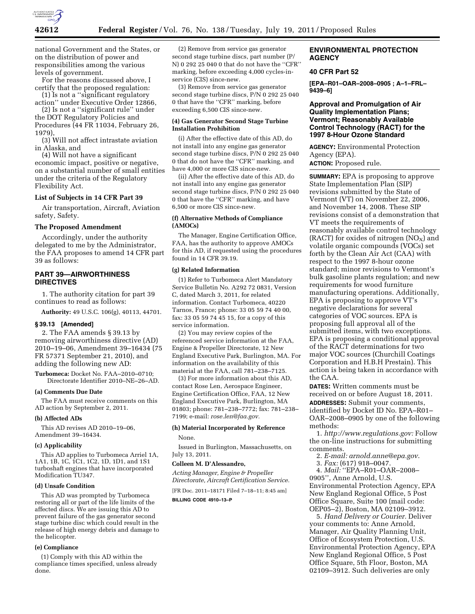

national Government and the States, or on the distribution of power and responsibilities among the various levels of government.

For the reasons discussed above, I certify that the proposed regulation:

(1) Is not a ''significant regulatory action'' under Executive Order 12866, (2) Is not a ''significant rule'' under

the DOT Regulatory Policies and Procedures (44 FR 11034, February 26, 1979),

(3) Will not affect intrastate aviation in Alaska, and

(4) Will not have a significant economic impact, positive or negative, on a substantial number of small entities under the criteria of the Regulatory Flexibility Act.

#### **List of Subjects in 14 CFR Part 39**

Air transportation, Aircraft, Aviation safety, Safety.

## **The Proposed Amendment**

Accordingly, under the authority delegated to me by the Administrator, the FAA proposes to amend 14 CFR part 39 as follows:

# **PART 39—AIRWORTHINESS DIRECTIVES**

1. The authority citation for part 39 continues to read as follows:

**Authority:** 49 U.S.C. 106(g), 40113, 44701.

## **§ 39.13 [Amended]**

2. The FAA amends § 39.13 by removing airworthiness directive (AD) 2010–19–06, Amendment 39–16434 (75 FR 57371 September 21, 2010), and adding the following new AD:

**Turbomeca:** Docket No. FAA–2010–0710; Directorate Identifier 2010–NE–26–AD.

## **(a) Comments Due Date**

The FAA must receive comments on this AD action by September 2, 2011.

## **(b) Affected ADs**

This AD revises AD 2010–19–06, Amendment 39–16434.

### **(c) Applicability**

This AD applies to Turbomeca Arriel 1A, 1A1, 1B, 1C, 1C1, 1C2, 1D, 1D1, and 1S1 turboshaft engines that have incorporated Modification TU347.

## **(d) Unsafe Condition**

This AD was prompted by Turbomeca restoring all or part of the life limits of the affected discs. We are issuing this AD to prevent failure of the gas generator second stage turbine disc which could result in the release of high energy debris and damage to the helicopter.

#### **(e) Compliance**

(1) Comply with this AD within the compliance times specified, unless already done.

(2) Remove from service gas generator second stage turbine discs, part number (P/ N) 0 292 25 040 0 that do not have the ''CFR'' marking, before exceeding 4,000 cycles-inservice (CIS) since-new.

(3) Remove from service gas generator second stage turbine discs, P/N 0 292 25 040 0 that have the ''CFR'' marking, before exceeding 6,500 CIS since-new.

# **(4) Gas Generator Second Stage Turbine Installation Prohibition**

(i) After the effective date of this AD, do not install into any engine gas generator second stage turbine discs, P/N 0 292 25 040 0 that do not have the ''CFR'' marking, and have 4,000 or more CIS since-new.

(ii) After the effective date of this AD, do not install into any engine gas generator second stage turbine discs, P/N 0 292 25 040 0 that have the ''CFR'' marking, and have 6,500 or more CIS since-new.

## **(f) Alternative Methods of Compliance (AMOCs)**

The Manager, Engine Certification Office, FAA, has the authority to approve AMOCs for this AD, if requested using the procedures found in 14 CFR 39.19.

## **(g) Related Information**

(1) Refer to Turbomeca Alert Mandatory Service Bulletin No. A292 72 0831, Version C, dated March 3, 2011, for related information. Contact Turbomeca, 40220 Tarnos, France; phone: 33 05 59 74 40 00, fax: 33 05 59 74 45 15, for a copy of this service information.

(2) You may review copies of the referenced service information at the FAA, Engine & Propeller Directorate, 12 New England Executive Park, Burlington, MA. For information on the availability of this material at the FAA, call 781–238–7125.

(3) For more information about this AD, contact Rose Len, Aerospace Engineer, Engine Certification Office, FAA, 12 New England Executive Park, Burlington, MA 01803; phone: 781–238–7772; fax: 781–238– 7199; e-mail: *rose.len@faa.gov.* 

## **(h) Material Incorporated by Reference**  None.

Issued in Burlington, Massachusetts, on July 13, 2011.

#### **Colleen M. D'Alessandro,**

*Acting Manager, Engine & Propeller Directorate, Aircraft Certification Service.* 

[FR Doc. 2011–18171 Filed 7–18–11; 8:45 am]

**BILLING CODE 4910–13–P** 

# **ENVIRONMENTAL PROTECTION AGENCY**

## **40 CFR Part 52**

**[EPA–R01–OAR–2008–0905 ; A–1–FRL– 9439–6]** 

# **Approval and Promulgation of Air Quality Implementation Plans; Vermont; Reasonably Available Control Technology (RACT) for the 1997 8-Hour Ozone Standard**

**AGENCY:** Environmental Protection Agency (EPA).

**ACTION:** Proposed rule.

**SUMMARY:** EPA is proposing to approve State Implementation Plan (SIP) revisions submitted by the State of Vermont (VT) on November 22, 2006, and November 14, 2008. These SIP revisions consist of a demonstration that VT meets the requirements of reasonably available control technology (RACT) for oxides of nitrogen  $(NO<sub>X</sub>)$  and volatile organic compounds (VOCs) set forth by the Clean Air Act (CAA) with respect to the 1997 8-hour ozone standard; minor revisions to Vermont's bulk gasoline plants regulation; and new requirements for wood furniture manufacturing operations. Additionally, EPA is proposing to approve VT's negative declarations for several categories of VOC sources. EPA is proposing full approval all of the submitted items, with two exceptions. EPA is proposing a conditional approval of the RACT determinations for two major VOC sources (Churchill Coatings Corporation and H.B.H Prestain). This action is being taken in accordance with the CAA.

**DATES:** Written comments must be received on or before August 18, 2011. **ADDRESSES:** Submit your comments, identified by Docket ID No. EPA–R01– OAR–2008–0905 by one of the following methods:

1. *http://www.regulations.gov:* Follow the on-line instructions for submitting comments.

- 2. *E-mail: arnold.anne@epa.gov*.
- 3. *Fax:* (617) 918–0047.

4. *Mail:* ''EPA–R01–OAR–2008– 0905'', Anne Arnold, U.S. Environmental Protection Agency, EPA New England Regional Office, 5 Post Office Square, Suite 100 (mail code: OEP05–2), Boston, MA 02109–3912.

5. *Hand Delivery or Courier.* Deliver your comments to: Anne Arnold, Manager, Air Quality Planning Unit, Office of Ecosystem Protection, U.S. Environmental Protection Agency, EPA New England Regional Office, 5 Post Office Square, 5th Floor, Boston, MA 02109–3912. Such deliveries are only